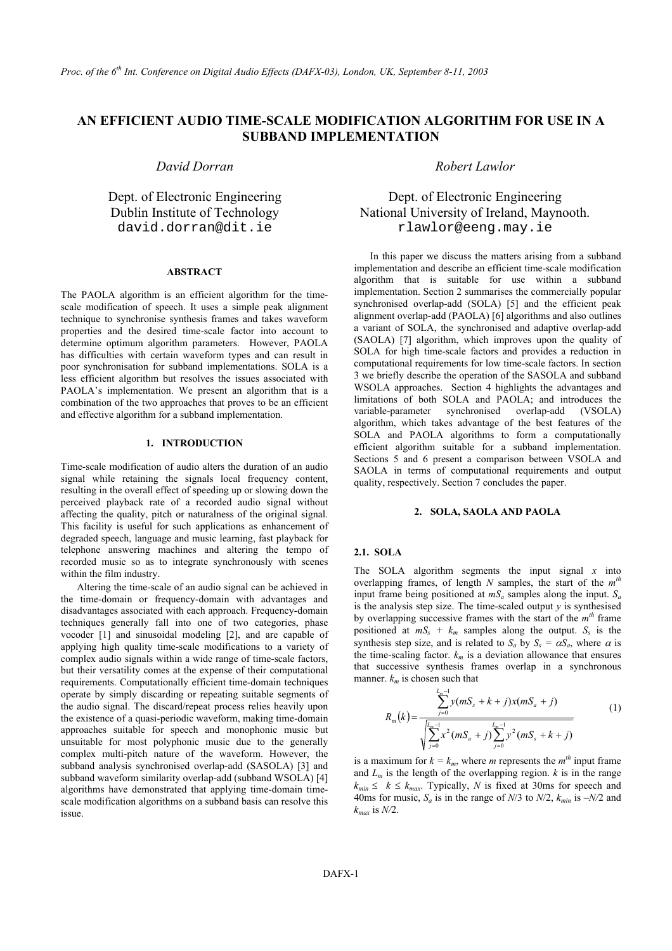# **AN EFFICIENT AUDIO TIME-SCALE MODIFICATION ALGORITHM FOR USE IN A SUBBAND IMPLEMENTATION**

#### **ABSTRACT**

The PAOLA algorithm is an efficient algorithm for the timescale modification of speech. It uses a simple peak alignment technique to synchronise synthesis frames and takes waveform properties and the desired time-scale factor into account to determine optimum algorithm parameters. However, PAOLA has difficulties with certain waveform types and can result in poor synchronisation for subband implementations. SOLA is a less efficient algorithm but resolves the issues associated with PAOLA's implementation. We present an algorithm that is a combination of the two approaches that proves to be an efficient and effective algorithm for a subband implementation.

#### **1. INTRODUCTION**

Time-scale modification of audio alters the duration of an audio signal while retaining the signals local frequency content, resulting in the overall effect of speeding up or slowing down the perceived playback rate of a recorded audio signal without affecting the quality, pitch or naturalness of the original signal. This facility is useful for such applications as enhancement of degraded speech, language and music learning, fast playback for telephone answering machines and altering the tempo of recorded music so as to integrate synchronously with scenes within the film industry.

Altering the time-scale of an audio signal can be achieved in the time-domain or frequency-domain with advantages and disadvantages associated with each approach. Frequency-domain techniques generally fall into one of two categories, phase vocoder [1] and sinusoidal modeling [2], and are capable of applying high quality time-scale modifications to a variety of complex audio signals within a wide range of time-scale factors, but their versatility comes at the expense of their computational requirements. Computationally efficient time-domain techniques operate by simply discarding or repeating suitable segments of the audio signal. The discard/repeat process relies heavily upon the existence of a quasi-periodic waveform, making time-domain approaches suitable for speech and monophonic music but unsuitable for most polyphonic music due to the generally complex multi-pitch nature of the waveform. However, the subband analysis synchronised overlap-add (SASOLA) [3] and subband waveform similarity overlap-add (subband WSOLA) [4] algorithms have demonstrated that applying time-domain timescale modification algorithms on a subband basis can resolve this issue.

# *David Dorran Robert Lawlor*

Dept. of Electronic Engineering Dept. of Electronic Engineering Dublin Institute of Technology National University of Ireland, Maynooth. david.dorran@dit.ie rlawlor@eeng.may.ie

> In this paper we discuss the matters arising from a subband implementation and describe an efficient time-scale modification algorithm that is suitable for use within a subband implementation. Section 2 summarises the commercially popular synchronised overlap-add (SOLA) [5] and the efficient peak alignment overlap-add (PAOLA) [6] algorithms and also outlines a variant of SOLA, the synchronised and adaptive overlap-add (SAOLA) [7] algorithm, which improves upon the quality of SOLA for high time-scale factors and provides a reduction in computational requirements for low time-scale factors. In section 3 we briefly describe the operation of the SASOLA and subband WSOLA approaches. Section 4 highlights the advantages and limitations of both SOLA and PAOLA; and introduces the variable-parameter synchronised overlap-add (VSOLA) algorithm, which takes advantage of the best features of the SOLA and PAOLA algorithms to form a computationally efficient algorithm suitable for a subband implementation. Sections 5 and 6 present a comparison between VSOLA and SAOLA in terms of computational requirements and output quality, respectively. Section 7 concludes the paper.

# **2. SOLA, SAOLA AND PAOLA**

## **2.1. SOLA**

The SOLA algorithm segments the input signal *x* into overlapping frames, of length *N* samples, the start of the  $m<sup>t</sup>$ input frame being positioned at  $mS_a$  samples along the input.  $S_a$ is the analysis step size. The time-scaled output *y* is synthesised by overlapping successive frames with the start of the *mth* frame positioned at  $mS_s + k_m$  samples along the output.  $S_s$  is the synthesis step size, and is related to  $S_a$  by  $S_s = \alpha S_a$ , where  $\alpha$  is the time-scaling factor.  $k_m$  is a deviation allowance that ensures that successive synthesis frames overlap in a synchronous manner.  $k_m$  is chosen such that

$$
R_m(k) = \frac{\sum_{j=0}^{L_m-1} y(mS_s + k + j)x(mS_a + j)}{\sqrt{\sum_{j=0}^{L_m-1} x^2(mS_a + j)\sum_{j=0}^{L_m-1} y^2(mS_s + k + j)}}
$$
(1)

is a maximum for  $k = k_m$ , where *m* represents the  $m<sup>th</sup>$  input frame and  $L_m$  is the length of the overlapping region.  $k$  is in the range  $k_{min} \le k \le k_{max}$ . Typically, *N* is fixed at 30ms for speech and 40ms for music,  $S_a$  is in the range of  $N/3$  to  $N/2$ ,  $k_{min}$  is  $-N/2$  and *kmax* is *N/*2.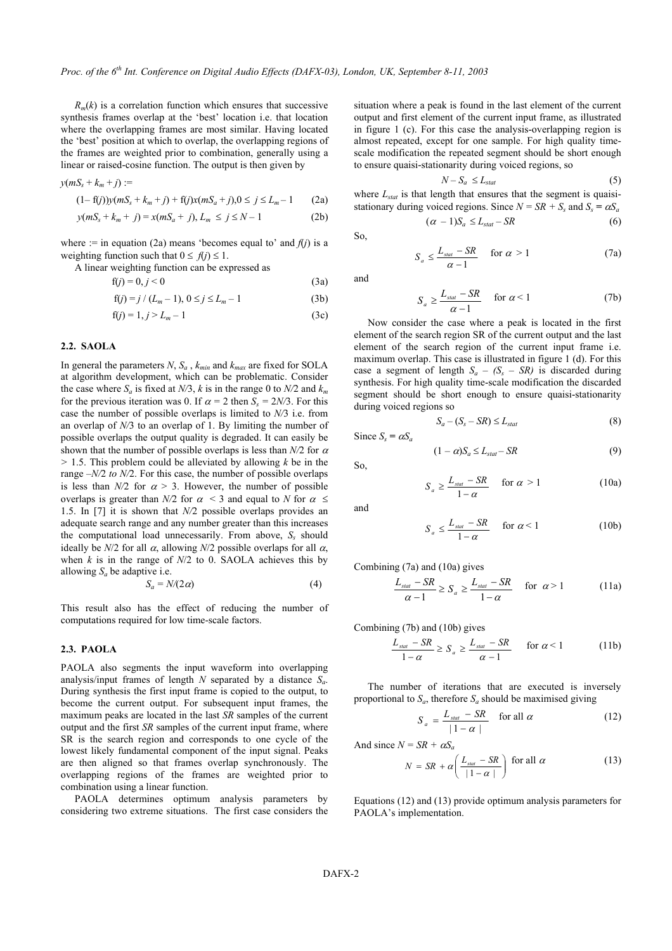$R_m(k)$  is a correlation function which ensures that successive synthesis frames overlap at the 'best' location i.e. that location where the overlapping frames are most similar. Having located the 'best' position at which to overlap, the overlapping regions of the frames are weighted prior to combination, generally using a linear or raised-cosine function. The output is then given by

$$
y(mS_s + k_m + j) :=
$$
  
(1-f(j)) $y(mS_s + k_m + j) + f(j)x(mS_a + j), 0 \le j \le L_m - 1$  (2a)

$$
(1 - 1)(j) y (m\omega_s + \kappa_m + j) + 1 (j) \kappa (m\omega_a + j), 0 \le j \le m-1
$$
 (2a)

$$
y(mS_s + k_m + j) = x(mS_a + j), L_m \le j \le N - 1
$$
 (2b)

where := in equation (2a) means 'becomes equal to' and  $f(j)$  is a weighting function such that  $0 \leq f(j) \leq 1$ .

A linear weighting function can be expressed as

$$
f(j) = 0, j < 0 \tag{3a}
$$

$$
f(j) = j / (L_m - 1), \ 0 \le j \le L_m - 1 \tag{3b}
$$

$$
f(j) = 1, j > L_m - 1
$$
 (3c)

## **2.2. SAOLA**

In general the parameters *N*,  $S_a$ ,  $k_{min}$  and  $k_{max}$  are fixed for SOLA at algorithm development, which can be problematic. Consider the case where  $S_a$  is fixed at  $N/3$ , k is in the range 0 to  $N/2$  and  $k_m$ for the previous iteration was 0. If  $\alpha = 2$  then  $S_s = 2N/3$ . For this case the number of possible overlaps is limited to *N/*3 i.e. from an overlap of *N/*3 to an overlap of 1. By limiting the number of possible overlaps the output quality is degraded. It can easily be shown that the number of possible overlaps is less than  $N/2$  for  $\alpha$ *>* 1.5. This problem could be alleviated by allowing *k* be in the range *–N/*2 *to N/*2. For this case, the number of possible overlaps is less than  $N/2$  for  $\alpha > 3$ . However, the number of possible overlaps is greater than *N/2* for  $\alpha$  < 3 and equal to *N* for  $\alpha \leq$ 1.5. In [7] it is shown that *N/*2 possible overlaps provides an adequate search range and any number greater than this increases the computational load unnecessarily. From above,  $S_s$  should ideally be  $N/2$  for all  $\alpha$ , allowing  $N/2$  possible overlaps for all  $\alpha$ , when  $k$  is in the range of  $N/2$  to 0. SAOLA achieves this by allowing  $S_a$  be adaptive i.e.

$$
S_a = N/(2\alpha) \tag{4}
$$

This result also has the effect of reducing the number of computations required for low time-scale factors.

#### **2.3. PAOLA**

PAOLA also segments the input waveform into overlapping analysis/input frames of length *N* separated by a distance *Sa*. During synthesis the first input frame is copied to the output, to become the current output. For subsequent input frames, the maximum peaks are located in the last *SR* samples of the current output and the first *SR* samples of the current input frame, where SR is the search region and corresponds to one cycle of the lowest likely fundamental component of the input signal. Peaks are then aligned so that frames overlap synchronously. The overlapping regions of the frames are weighted prior to combination using a linear function.

PAOLA determines optimum analysis parameters by considering two extreme situations. The first case considers the situation where a peak is found in the last element of the current output and first element of the current input frame, as illustrated in figure 1 (c). For this case the analysis-overlapping region is almost repeated, except for one sample. For high quality timescale modification the repeated segment should be short enough to ensure quaisi-stationarity during voiced regions, so

$$
N - S_a \le L_{stat} \tag{5}
$$

where  $L_{stat}$  is that length that ensures that the segment is quaisistationary during voiced regions. Since  $N = SR + S_s$  and  $S_s = \alpha S_a$  $(\alpha - 1)S_a \le L_{stat} - SR$  (6)

So,

and

$$
S_a \ge \frac{L_{\text{stat}} - SR}{\alpha - 1} \quad \text{for } \alpha < 1 \tag{7b}
$$

 $S_a \le \frac{L_{stat} - SR}{\alpha - 1}$  for  $\alpha > 1$  (7a)

Now consider the case where a peak is located in the first element of the search region SR of the current output and the last element of the search region of the current input frame i.e. maximum overlap. This case is illustrated in figure 1 (d). For this case a segment of length  $S_a - (S_s - SR)$  is discarded during synthesis. For high quality time-scale modification the discarded segment should be short enough to ensure quaisi-stationarity during voiced regions so

$$
S_a - (S_s - SR) \le L_{stat} \tag{8}
$$

Since  $S_s = \alpha S_a$ 

$$
(1 - \alpha)S_a \le L_{stat} - SR \tag{9}
$$

$$
S_a \ge \frac{L_{\text{stat}} - SR}{1 - \alpha} \quad \text{for } \alpha > 1 \tag{10a}
$$

and

So,

$$
S_a \le \frac{L_{\text{stat}} - SR}{1 - \alpha} \quad \text{for } \alpha < 1 \tag{10b}
$$

Combining (7a) and (10a) gives

$$
\frac{L_{\text{stat}} - SR}{\alpha - 1} \ge S_a \ge \frac{L_{\text{stat}} - SR}{1 - \alpha} \quad \text{for } \alpha > 1 \tag{11a}
$$

Combining (7b) and (10b) gives

$$
\frac{L_{stat} - SR}{1 - \alpha} \ge S_a \ge \frac{L_{stat} - SR}{\alpha - 1} \qquad \text{for } \alpha < 1 \tag{11b}
$$

The number of iterations that are executed is inversely proportional to  $S_a$ , therefore  $S_a$  should be maximised giving

$$
S_a = \frac{L_{stat} - SR}{|1 - \alpha|} \quad \text{for all } \alpha \tag{12}
$$

And since  $N = SR + \alpha S_a$ 

$$
N = SR + \alpha \left( \frac{L_{\text{stat}} - SR}{|1 - \alpha|} \right) \text{ for all } \alpha \tag{13}
$$

Equations (12) and (13) provide optimum analysis parameters for PAOLA's implementation.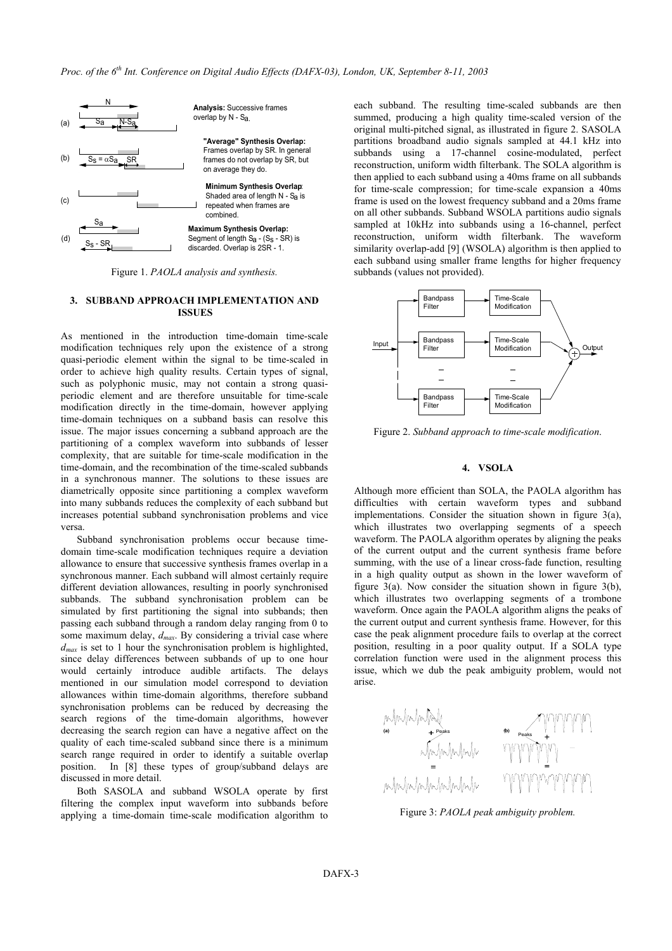

Figure 1. *PAOLA analysis and synthesis.*

#### **3. SUBBAND APPROACH IMPLEMENTATION AND ISSUES**

As mentioned in the introduction time-domain time-scale modification techniques rely upon the existence of a strong quasi-periodic element within the signal to be time-scaled in order to achieve high quality results. Certain types of signal, such as polyphonic music, may not contain a strong quasiperiodic element and are therefore unsuitable for time-scale modification directly in the time-domain, however applying time-domain techniques on a subband basis can resolve this issue. The major issues concerning a subband approach are the partitioning of a complex waveform into subbands of lesser complexity, that are suitable for time-scale modification in the time-domain, and the recombination of the time-scaled subbands in a synchronous manner. The solutions to these issues are diametrically opposite since partitioning a complex waveform into many subbands reduces the complexity of each subband but increases potential subband synchronisation problems and vice versa.

Subband synchronisation problems occur because timedomain time-scale modification techniques require a deviation allowance to ensure that successive synthesis frames overlap in a synchronous manner. Each subband will almost certainly require different deviation allowances, resulting in poorly synchronised subbands. The subband synchronisation problem can be simulated by first partitioning the signal into subbands; then passing each subband through a random delay ranging from 0 to some maximum delay, *dmax*. By considering a trivial case where  $d_{max}$  is set to 1 hour the synchronisation problem is highlighted, since delay differences between subbands of up to one hour would certainly introduce audible artifacts. The delays mentioned in our simulation model correspond to deviation allowances within time-domain algorithms, therefore subband synchronisation problems can be reduced by decreasing the search regions of the time-domain algorithms, however decreasing the search region can have a negative affect on the quality of each time-scaled subband since there is a minimum search range required in order to identify a suitable overlap position. In [8] these types of group/subband delays are discussed in more detail.

Both SASOLA and subband WSOLA operate by first filtering the complex input waveform into subbands before applying a time-domain time-scale modification algorithm to each subband. The resulting time-scaled subbands are then summed, producing a high quality time-scaled version of the original multi-pitched signal, as illustrated in figure 2. SASOLA partitions broadband audio signals sampled at 44.1 kHz into subbands using a 17-channel cosine-modulated, perfect reconstruction, uniform width filterbank. The SOLA algorithm is then applied to each subband using a 40ms frame on all subbands for time-scale compression; for time-scale expansion a 40ms frame is used on the lowest frequency subband and a 20ms frame on all other subbands. Subband WSOLA partitions audio signals sampled at 10kHz into subbands using a 16-channel, perfect reconstruction, uniform width filterbank. The waveform similarity overlap-add [9] (WSOLA) algorithm is then applied to each subband using smaller frame lengths for higher frequency subbands (values not provided).



Figure 2. *Subband approach to time-scale modification*.

#### **4. VSOLA**

Although more efficient than SOLA, the PAOLA algorithm has difficulties with certain waveform types and subband implementations. Consider the situation shown in figure 3(a), which illustrates two overlapping segments of a speech waveform. The PAOLA algorithm operates by aligning the peaks of the current output and the current synthesis frame before summing, with the use of a linear cross-fade function, resulting in a high quality output as shown in the lower waveform of figure 3(a). Now consider the situation shown in figure 3(b), which illustrates two overlapping segments of a trombone waveform. Once again the PAOLA algorithm aligns the peaks of the current output and current synthesis frame. However, for this case the peak alignment procedure fails to overlap at the correct position, resulting in a poor quality output. If a SOLA type correlation function were used in the alignment process this issue, which we dub the peak ambiguity problem, would not arise.



Figure 3: *PAOLA peak ambiguity problem.*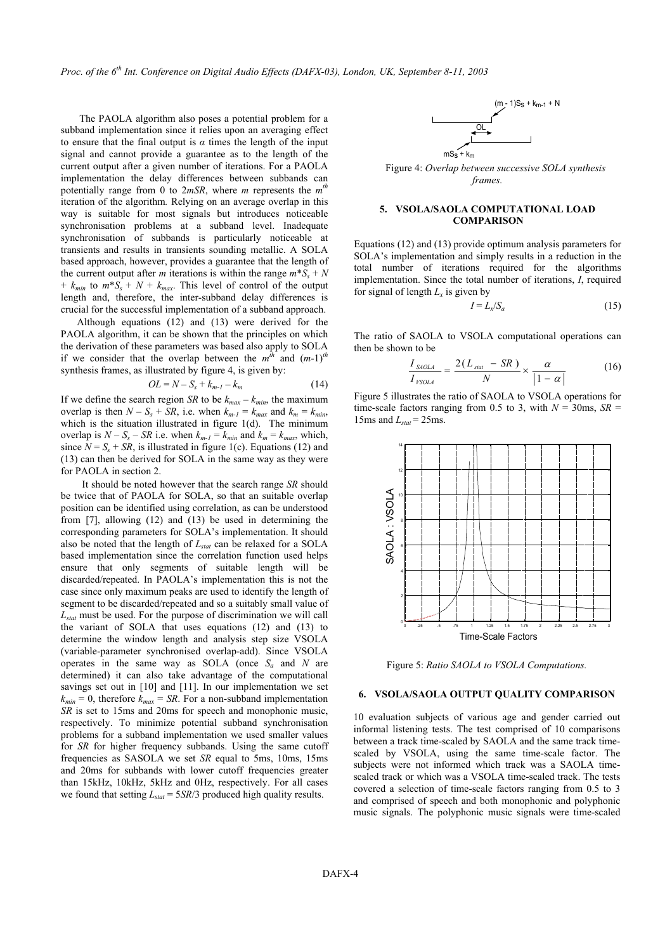*Proc. of the 6th Int. Conference on Digital Audio Effects (DAFX-03), London, UK, September 8-11, 2003* 

The PAOLA algorithm also poses a potential problem for a subband implementation since it relies upon an averaging effect to ensure that the final output is  $\alpha$  times the length of the input signal and cannot provide a guarantee as to the length of the current output after a given number of iterations. For a PAOLA implementation the delay differences between subbands can potentially range from 0 to 2*mSR*, where *m* represents the *mth* iteration of the algorithm*.* Relying on an average overlap in this way is suitable for most signals but introduces noticeable synchronisation problems at a subband level. Inadequate synchronisation of subbands is particularly noticeable at transients and results in transients sounding metallic. A SOLA based approach, however, provides a guarantee that the length of the current output after *m* iterations is within the range  $m^*S_s + N$ +  $k_{min}$  to  $m * S_s + N + k_{max}$ . This level of control of the output length and, therefore, the inter-subband delay differences is crucial for the successful implementation of a subband approach.

Although equations (12) and (13) were derived for the PAOLA algorithm, it can be shown that the principles on which the derivation of these parameters was based also apply to SOLA if we consider that the overlap between the  $m^{\bar{t}h}$  and  $(m-1)^{\bar{t}h}$ synthesis frames, as illustrated by figure 4, is given by:

$$
OL = N - S_s + k_{m-l} - k_m \tag{14}
$$

If we define the search region *SR* to be  $k_{max} - k_{min}$ , the maximum overlap is then  $N - S_s + SR$ , i.e. when  $k_{m-l} = k_{max}$  and  $k_m = k_{min}$ , which is the situation illustrated in figure 1(d). The minimum overlap is  $N - S_s - SR$  i.e. when  $k_{m-l} = k_{min}$  and  $k_m = k_{max}$ , which, since  $N = S<sub>s</sub> + SR$ , is illustrated in figure 1(c). Equations (12) and (13) can then be derived for SOLA in the same way as they were for PAOLA in section 2.

It should be noted however that the search range *SR* should be twice that of PAOLA for SOLA, so that an suitable overlap position can be identified using correlation, as can be understood from [7], allowing (12) and (13) be used in determining the corresponding parameters for SOLA's implementation. It should also be noted that the length of *Lstat* can be relaxed for a SOLA based implementation since the correlation function used helps ensure that only segments of suitable length will be discarded/repeated. In PAOLA's implementation this is not the case since only maximum peaks are used to identify the length of segment to be discarded/repeated and so a suitably small value of *Lstat* must be used. For the purpose of discrimination we will call the variant of SOLA that uses equations (12) and (13) to determine the window length and analysis step size VSOLA (variable-parameter synchronised overlap-add). Since VSOLA operates in the same way as SOLA (once  $S_a$  and  $N$  are determined) it can also take advantage of the computational savings set out in [10] and [11]. In our implementation we set  $k_{min} = 0$ , therefore  $k_{max} = SR$ . For a non-subband implementation *SR* is set to 15ms and 20ms for speech and monophonic music, respectively. To minimize potential subband synchronisation problems for a subband implementation we used smaller values for *SR* for higher frequency subbands. Using the same cutoff frequencies as SASOLA we set *SR* equal to 5ms, 10ms, 15ms and 20ms for subbands with lower cutoff frequencies greater than 15kHz, 10kHz, 5kHz and 0Hz, respectively. For all cases we found that setting  $L_{stat} = 5SR/3$  produced high quality results.



Figure 4: *Overlap between successive SOLA synthesis frames.*

### **5. VSOLA/SAOLA COMPUTATIONAL LOAD COMPARISON**

Equations (12) and (13) provide optimum analysis parameters for SOLA's implementation and simply results in a reduction in the total number of iterations required for the algorithms implementation. Since the total number of iterations, *I*, required for signal of length  $L<sub>x</sub>$  is given by

$$
I = L_x / S_a \tag{15}
$$

The ratio of SAOLA to VSOLA computational operations can then be shown to be

$$
\frac{I_{SAOLA}}{I_{YSOLA}} = \frac{2(L_{stat} - SR)}{N} \times \frac{\alpha}{|1 - \alpha|}
$$
(16)

Figure 5 illustrates the ratio of SAOLA to VSOLA operations for time-scale factors ranging from 0.5 to 3, with  $N = 30$ ms,  $SR =$ 15ms and  $L_{stat}$  = 25ms.



Figure 5: *Ratio SAOLA to VSOLA Computations.*

#### **6. VSOLA/SAOLA OUTPUT QUALITY COMPARISON**

10 evaluation subjects of various age and gender carried out informal listening tests. The test comprised of 10 comparisons between a track time-scaled by SAOLA and the same track timescaled by VSOLA, using the same time-scale factor. The subjects were not informed which track was a SAOLA timescaled track or which was a VSOLA time-scaled track. The tests covered a selection of time-scale factors ranging from 0.5 to 3 and comprised of speech and both monophonic and polyphonic music signals. The polyphonic music signals were time-scaled